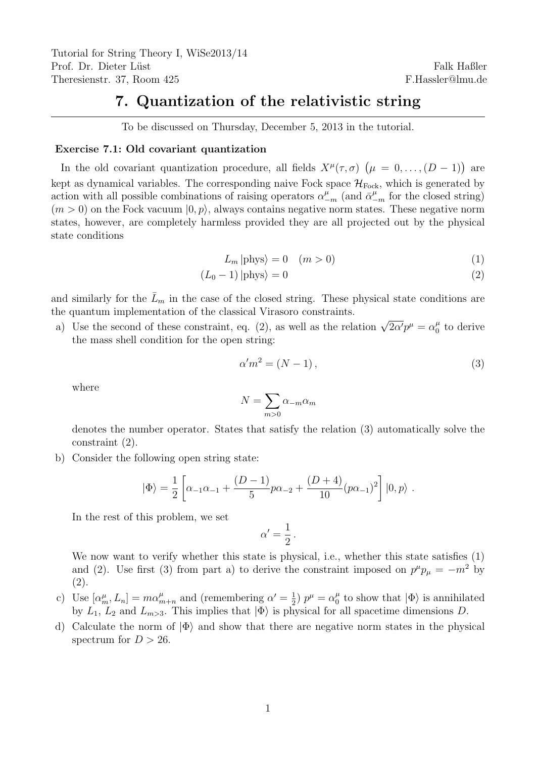Tutorial for String Theory I, WiSe2013/14 Prof. Dr. Dieter Lüst Theresienstr. 37, Room 425

# 7. Quantization of the relativistic string

To be discussed on Thursday, December 5, 2013 in the tutorial.

#### Exercise 7.1: Old covariant quantization

In the old covariant quantization procedure, all fields  $X^{\mu}(\tau,\sigma)$   $(\mu = 0,\ldots,(D-1))$  are kept as dynamical variables. The corresponding naive Fock space  $\mathcal{H}_{Fock}$ , which is generated by action with all possible combinations of raising operators  $\alpha_{-m}^{\mu}$  (and  $\bar{\alpha}_{-m}^{\mu}$  for the closed string)  $(m > 0)$  on the Fock vacuum  $(0, p)$ , always contains negative norm states. These negative norm states, however, are completely harmless provided they are all projected out by the physical state conditions

$$
L_m | \text{phys} \rangle = 0 \quad (m > 0) \tag{1}
$$

$$
(L_0 - 1)|\text{phys}\rangle = 0\tag{2}
$$

and similarly for the  $\bar{L}_m$  in the case of the closed string. These physical state conditions are the quantum implementation of the classical Virasoro constraints.

a) Use the second of these constraint, eq. (2), as well as the relation  $\sqrt{2\alpha'}p^{\mu} = \alpha_0^{\mu}$  $\frac{\mu}{0}$  to derive the mass shell condition for the open string:

$$
\alpha'm^2 = (N-1),\tag{3}
$$

where

$$
N = \sum_{m>0} \alpha_{-m} \alpha_m
$$

denotes the number operator. States that satisfy the relation (3) automatically solve the constraint (2).

b) Consider the following open string state:

$$
|\Phi\rangle = \frac{1}{2} \left[ \alpha_{-1}\alpha_{-1} + \frac{(D-1)}{5}p\alpha_{-2} + \frac{(D+4)}{10}(p\alpha_{-1})^2 \right] |0, p\rangle.
$$

In the rest of this problem, we set

$$
\alpha'=\frac{1}{2}\,.
$$

We now want to verify whether this state is physical, i.e., whether this state satisfies (1) and (2). Use first (3) from part a) to derive the constraint imposed on  $p^{\mu}p_{\mu} = -m^2$  by (2).

- c) Use  $[\alpha_m^{\mu}, L_n] = m \alpha_{m+n}^{\mu}$  and (remembering  $\alpha' = \frac{1}{2}$  $(\frac{1}{2}) p^{\mu} = \alpha_0^{\mu}$  $\frac{\mu}{0}$  to show that  $|\Phi\rangle$  is annihilated by  $L_1$ ,  $L_2$  and  $L_{m>3}$ . This implies that  $|\Phi\rangle$  is physical for all spacetime dimensions D.
- d) Calculate the norm of  $|\Phi\rangle$  and show that there are negative norm states in the physical spectrum for  $D > 26$ .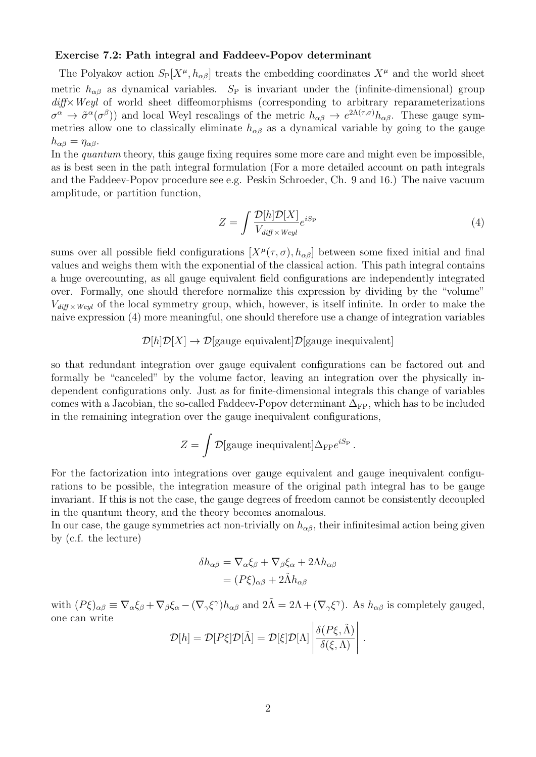#### Exercise 7.2: Path integral and Faddeev-Popov determinant

The Polyakov action  $S_P[X^{\mu}, h_{\alpha\beta}]$  treats the embedding coordinates  $X^{\mu}$  and the world sheet metric  $h_{\alpha\beta}$  as dynamical variables. S<sub>P</sub> is invariant under the (infinite-dimensional) group diff × Weyl of world sheet diffeomorphisms (corresponding to arbitrary reparameterizations  $\sigma^{\alpha} \to \tilde{\sigma}^{\alpha}(\sigma^{\beta})$  and local Weyl rescalings of the metric  $h_{\alpha\beta} \to e^{2\Lambda(\tau,\sigma)}h_{\alpha\beta}$ . These gauge symmetries allow one to classically eliminate  $h_{\alpha\beta}$  as a dynamical variable by going to the gauge  $h_{\alpha\beta} = \eta_{\alpha\beta}.$ 

In the *quantum* theory, this gauge fixing requires some more care and might even be impossible, as is best seen in the path integral formulation (For a more detailed account on path integrals and the Faddeev-Popov procedure see e.g. Peskin Schroeder, Ch. 9 and 16.) The naive vacuum amplitude, or partition function,

$$
Z = \int \frac{\mathcal{D}[h]\mathcal{D}[X]}{V_{\text{diff} \times \text{Weyl}}} e^{iS_{\text{P}}}
$$
\n
$$
\tag{4}
$$

sums over all possible field configurations  $[X^{\mu}(\tau,\sigma), h_{\alpha\beta}]$  between some fixed initial and final values and weighs them with the exponential of the classical action. This path integral contains a huge overcounting, as all gauge equivalent field configurations are independently integrated over. Formally, one should therefore normalize this expression by dividing by the "volume"  $V_{diff \times Weyl}$  of the local symmetry group, which, however, is itself infinite. In order to make the naive expression (4) more meaningful, one should therefore use a change of integration variables

## $\mathcal{D}[h]\mathcal{D}[X] \to \mathcal{D}[\text{gauge equivalent}]\mathcal{D}[\text{gauge inequality}]$

so that redundant integration over gauge equivalent configurations can be factored out and formally be "canceled" by the volume factor, leaving an integration over the physically independent configurations only. Just as for finite-dimensional integrals this change of variables comes with a Jacobian, the so-called Faddeev-Popov determinant  $\Delta_{FP}$ , which has to be included in the remaining integration over the gauge inequivalent configurations,

$$
Z = \int \mathcal{D}[\text{gauge inequivalent}] \Delta_{\text{FP}} e^{iS_{\text{P}}}\,.
$$

For the factorization into integrations over gauge equivalent and gauge inequivalent configurations to be possible, the integration measure of the original path integral has to be gauge invariant. If this is not the case, the gauge degrees of freedom cannot be consistently decoupled in the quantum theory, and the theory becomes anomalous.

In our case, the gauge symmetries act non-trivially on  $h_{\alpha\beta}$ , their infinitesimal action being given by (c.f. the lecture)

$$
\delta h_{\alpha\beta} = \nabla_{\alpha} \xi_{\beta} + \nabla_{\beta} \xi_{\alpha} + 2\Lambda h_{\alpha\beta}
$$

$$
= (P\xi)_{\alpha\beta} + 2\tilde{\Lambda} h_{\alpha\beta}
$$

with  $(P\xi)_{\alpha\beta} \equiv \nabla_{\alpha}\xi_{\beta} + \nabla_{\beta}\xi_{\alpha} - (\nabla_{\gamma}\xi^{\gamma})h_{\alpha\beta}$  and  $2\tilde{\Lambda} = 2\Lambda + (\nabla_{\gamma}\xi^{\gamma})$ . As  $h_{\alpha\beta}$  is completely gauged, one can write

$$
\mathcal{D}[h] = \mathcal{D}[P\xi]\mathcal{D}[\tilde{\Lambda}] = \mathcal{D}[\xi]\mathcal{D}[\Lambda] \left| \frac{\delta(P\xi, \tilde{\Lambda})}{\delta(\xi, \Lambda)} \right|.
$$